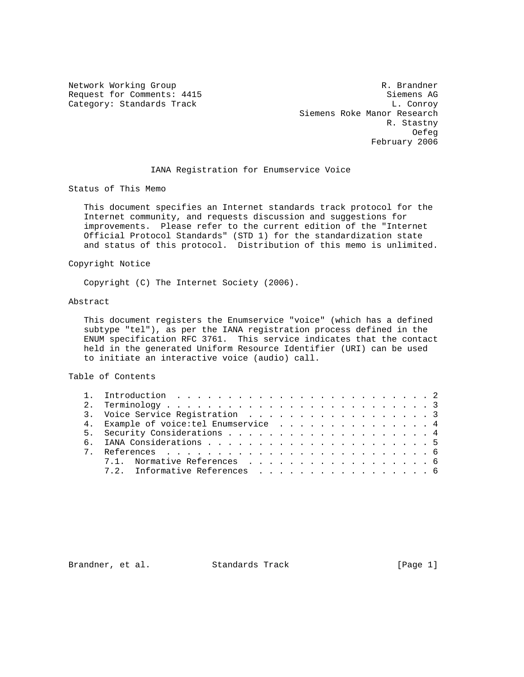Network Working Group and the set of the set of the set of the R. Brandner Request for Comments: 4415 Siemens AG Category: Standards Track L. Conroy L. Conroy Siemens Roke Manor Research R. Stastny of the contract of the contract of the contract of the contract of the contract of the contract of the contract of the contract of the contract of the contract of the contract of the contract of the contract of the contrac February 2006

### IANA Registration for Enumservice Voice

Status of This Memo

 This document specifies an Internet standards track protocol for the Internet community, and requests discussion and suggestions for improvements. Please refer to the current edition of the "Internet Official Protocol Standards" (STD 1) for the standardization state and status of this protocol. Distribution of this memo is unlimited.

### Copyright Notice

Copyright (C) The Internet Society (2006).

### Abstract

 This document registers the Enumservice "voice" (which has a defined subtype "tel"), as per the IANA registration process defined in the ENUM specification RFC 3761. This service indicates that the contact held in the generated Uniform Resource Identifier (URI) can be used to initiate an interactive voice (audio) call.

### Table of Contents

| 3. Voice Service Registration 3        |
|----------------------------------------|
| 4. Example of voice: tel Enumservice 4 |
|                                        |
|                                        |
|                                        |
| 7.1. Normative References 6            |
| 7.2. Informative References 6          |
|                                        |

Brandner, et al. Standards Track [Page 1]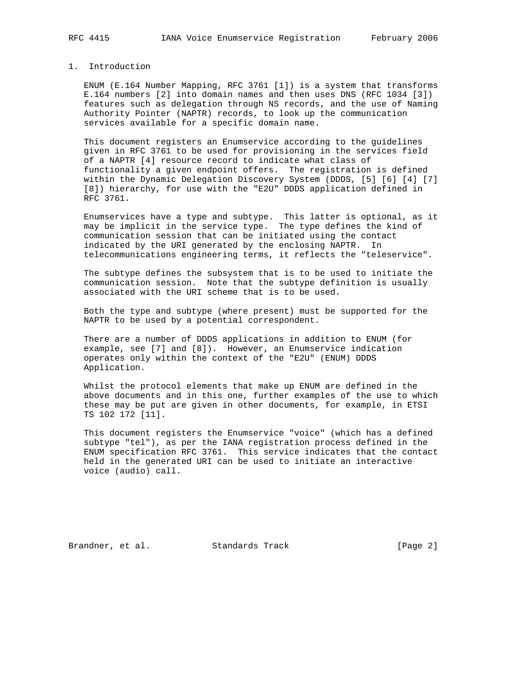## 1. Introduction

 ENUM (E.164 Number Mapping, RFC 3761 [1]) is a system that transforms E.164 numbers [2] into domain names and then uses DNS (RFC 1034 [3]) features such as delegation through NS records, and the use of Naming Authority Pointer (NAPTR) records, to look up the communication services available for a specific domain name.

 This document registers an Enumservice according to the guidelines given in RFC 3761 to be used for provisioning in the services field of a NAPTR [4] resource record to indicate what class of functionality a given endpoint offers. The registration is defined within the Dynamic Delegation Discovery System (DDDS, [5] [6] [4] [7] [8]) hierarchy, for use with the "E2U" DDDS application defined in RFC 3761.

 Enumservices have a type and subtype. This latter is optional, as it may be implicit in the service type. The type defines the kind of communication session that can be initiated using the contact indicated by the URI generated by the enclosing NAPTR. In telecommunications engineering terms, it reflects the "teleservice".

 The subtype defines the subsystem that is to be used to initiate the communication session. Note that the subtype definition is usually associated with the URI scheme that is to be used.

 Both the type and subtype (where present) must be supported for the NAPTR to be used by a potential correspondent.

 There are a number of DDDS applications in addition to ENUM (for example, see [7] and [8]). However, an Enumservice indication operates only within the context of the "E2U" (ENUM) DDDS Application.

 Whilst the protocol elements that make up ENUM are defined in the above documents and in this one, further examples of the use to which these may be put are given in other documents, for example, in ETSI TS 102 172 [11].

 This document registers the Enumservice "voice" (which has a defined subtype "tel"), as per the IANA registration process defined in the ENUM specification RFC 3761. This service indicates that the contact held in the generated URI can be used to initiate an interactive voice (audio) call.

Brandner, et al. Standards Track [Page 2]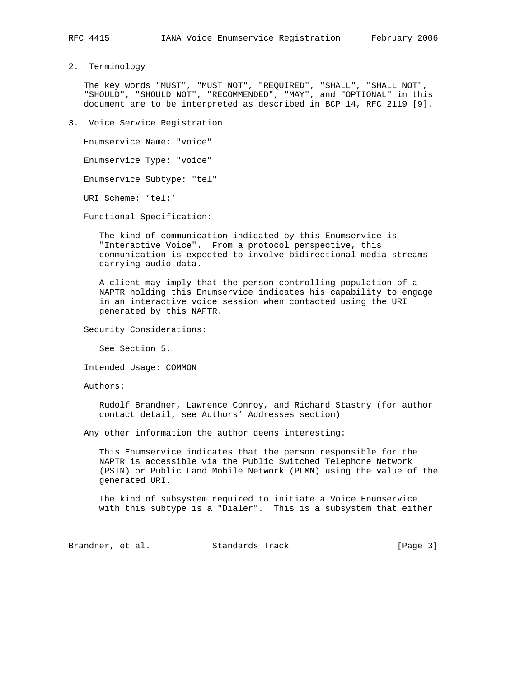2. Terminology

 The key words "MUST", "MUST NOT", "REQUIRED", "SHALL", "SHALL NOT", "SHOULD", "SHOULD NOT", "RECOMMENDED", "MAY", and "OPTIONAL" in this document are to be interpreted as described in BCP 14, RFC 2119 [9].

3. Voice Service Registration

 Enumservice Name: "voice" Enumservice Type: "voice" Enumservice Subtype: "tel" URI Scheme: 'tel:'

Functional Specification:

 The kind of communication indicated by this Enumservice is "Interactive Voice". From a protocol perspective, this communication is expected to involve bidirectional media streams carrying audio data.

 A client may imply that the person controlling population of a NAPTR holding this Enumservice indicates his capability to engage in an interactive voice session when contacted using the URI generated by this NAPTR.

Security Considerations:

See Section 5.

Intended Usage: COMMON

Authors:

 Rudolf Brandner, Lawrence Conroy, and Richard Stastny (for author contact detail, see Authors' Addresses section)

Any other information the author deems interesting:

 This Enumservice indicates that the person responsible for the NAPTR is accessible via the Public Switched Telephone Network (PSTN) or Public Land Mobile Network (PLMN) using the value of the generated URI.

 The kind of subsystem required to initiate a Voice Enumservice with this subtype is a "Dialer". This is a subsystem that either

Brandner, et al. Standards Track [Page 3]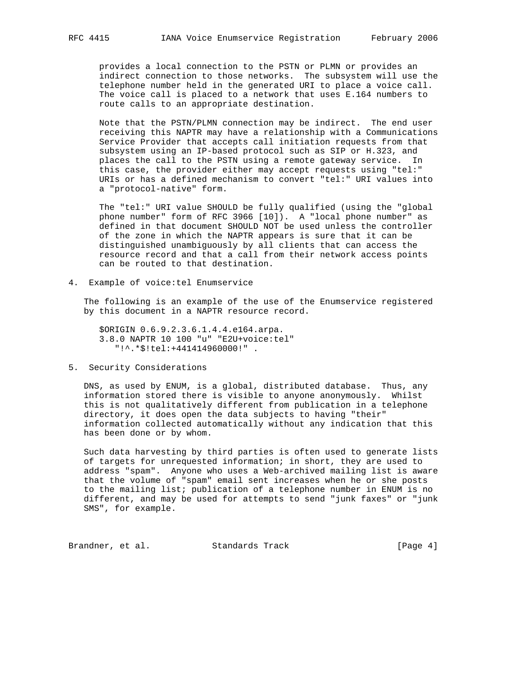provides a local connection to the PSTN or PLMN or provides an indirect connection to those networks. The subsystem will use the telephone number held in the generated URI to place a voice call. The voice call is placed to a network that uses E.164 numbers to route calls to an appropriate destination.

 Note that the PSTN/PLMN connection may be indirect. The end user receiving this NAPTR may have a relationship with a Communications Service Provider that accepts call initiation requests from that subsystem using an IP-based protocol such as SIP or H.323, and places the call to the PSTN using a remote gateway service. In this case, the provider either may accept requests using "tel:" URIs or has a defined mechanism to convert "tel:" URI values into a "protocol-native" form.

 The "tel:" URI value SHOULD be fully qualified (using the "global phone number" form of RFC 3966 [10]). A "local phone number" as defined in that document SHOULD NOT be used unless the controller of the zone in which the NAPTR appears is sure that it can be distinguished unambiguously by all clients that can access the resource record and that a call from their network access points can be routed to that destination.

4. Example of voice:tel Enumservice

 The following is an example of the use of the Enumservice registered by this document in a NAPTR resource record.

 \$ORIGIN 0.6.9.2.3.6.1.4.4.e164.arpa. 3.8.0 NAPTR 10 100 "u" "E2U+voice:tel" "!^.\*\$!tel:+441414960000!" .

## 5. Security Considerations

 DNS, as used by ENUM, is a global, distributed database. Thus, any information stored there is visible to anyone anonymously. Whilst this is not qualitatively different from publication in a telephone directory, it does open the data subjects to having "their" information collected automatically without any indication that this has been done or by whom.

 Such data harvesting by third parties is often used to generate lists of targets for unrequested information; in short, they are used to address "spam". Anyone who uses a Web-archived mailing list is aware that the volume of "spam" email sent increases when he or she posts to the mailing list; publication of a telephone number in ENUM is no different, and may be used for attempts to send "junk faxes" or "junk SMS", for example.

Brandner, et al. Standards Track [Page 4]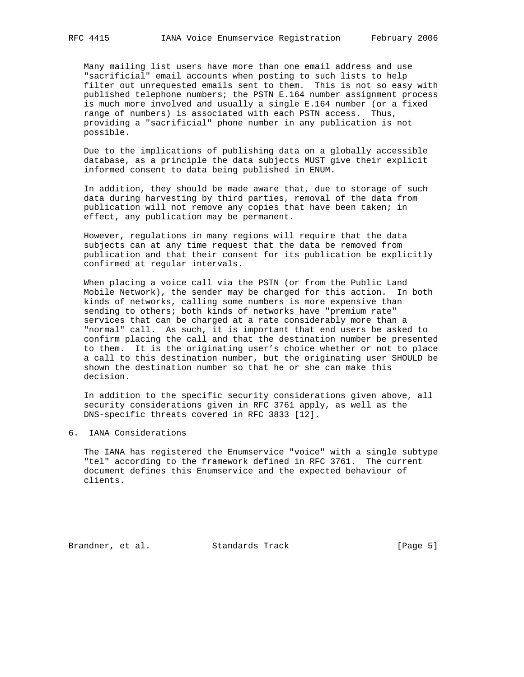Many mailing list users have more than one email address and use "sacrificial" email accounts when posting to such lists to help filter out unrequested emails sent to them. This is not so easy with published telephone numbers; the PSTN E.164 number assignment process is much more involved and usually a single E.164 number (or a fixed range of numbers) is associated with each PSTN access. Thus, providing a "sacrificial" phone number in any publication is not possible.

 Due to the implications of publishing data on a globally accessible database, as a principle the data subjects MUST give their explicit informed consent to data being published in ENUM.

 In addition, they should be made aware that, due to storage of such data during harvesting by third parties, removal of the data from publication will not remove any copies that have been taken; in effect, any publication may be permanent.

 However, regulations in many regions will require that the data subjects can at any time request that the data be removed from publication and that their consent for its publication be explicitly confirmed at regular intervals.

 When placing a voice call via the PSTN (or from the Public Land Mobile Network), the sender may be charged for this action. In both kinds of networks, calling some numbers is more expensive than sending to others; both kinds of networks have "premium rate" services that can be charged at a rate considerably more than a "normal" call. As such, it is important that end users be asked to confirm placing the call and that the destination number be presented to them. It is the originating user's choice whether or not to place a call to this destination number, but the originating user SHOULD be shown the destination number so that he or she can make this decision.

 In addition to the specific security considerations given above, all security considerations given in RFC 3761 apply, as well as the DNS-specific threats covered in RFC 3833 [12].

6. IANA Considerations

 The IANA has registered the Enumservice "voice" with a single subtype "tel" according to the framework defined in RFC 3761. The current document defines this Enumservice and the expected behaviour of clients.

Brandner, et al. Standards Track [Page 5]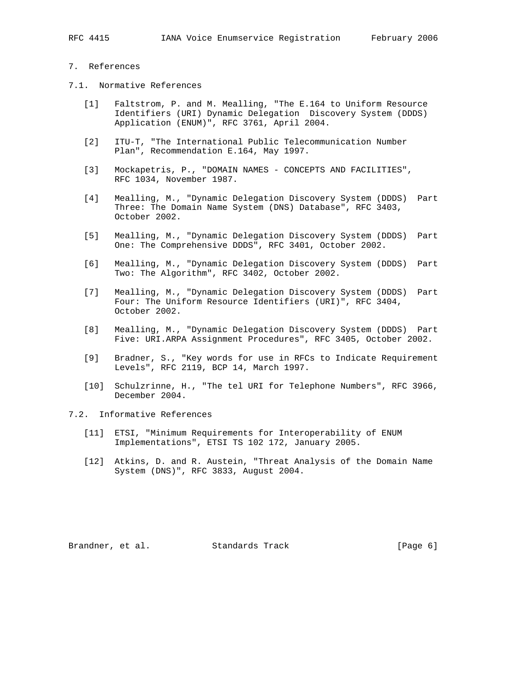# 7. References

- 7.1. Normative References
	- [1] Faltstrom, P. and M. Mealling, "The E.164 to Uniform Resource Identifiers (URI) Dynamic Delegation Discovery System (DDDS) Application (ENUM)", RFC 3761, April 2004.
	- [2] ITU-T, "The International Public Telecommunication Number Plan", Recommendation E.164, May 1997.
	- [3] Mockapetris, P., "DOMAIN NAMES CONCEPTS AND FACILITIES", RFC 1034, November 1987.
	- [4] Mealling, M., "Dynamic Delegation Discovery System (DDDS) Part Three: The Domain Name System (DNS) Database", RFC 3403, October 2002.
	- [5] Mealling, M., "Dynamic Delegation Discovery System (DDDS) Part One: The Comprehensive DDDS", RFC 3401, October 2002.
	- [6] Mealling, M., "Dynamic Delegation Discovery System (DDDS) Part Two: The Algorithm", RFC 3402, October 2002.
	- [7] Mealling, M., "Dynamic Delegation Discovery System (DDDS) Part Four: The Uniform Resource Identifiers (URI)", RFC 3404, October 2002.
	- [8] Mealling, M., "Dynamic Delegation Discovery System (DDDS) Part Five: URI.ARPA Assignment Procedures", RFC 3405, October 2002.
	- [9] Bradner, S., "Key words for use in RFCs to Indicate Requirement Levels", RFC 2119, BCP 14, March 1997.
	- [10] Schulzrinne, H., "The tel URI for Telephone Numbers", RFC 3966, December 2004.

# 7.2. Informative References

- [11] ETSI, "Minimum Requirements for Interoperability of ENUM Implementations", ETSI TS 102 172, January 2005.
- [12] Atkins, D. and R. Austein, "Threat Analysis of the Domain Name System (DNS)", RFC 3833, August 2004.

Brandner, et al. Standards Track [Page 6]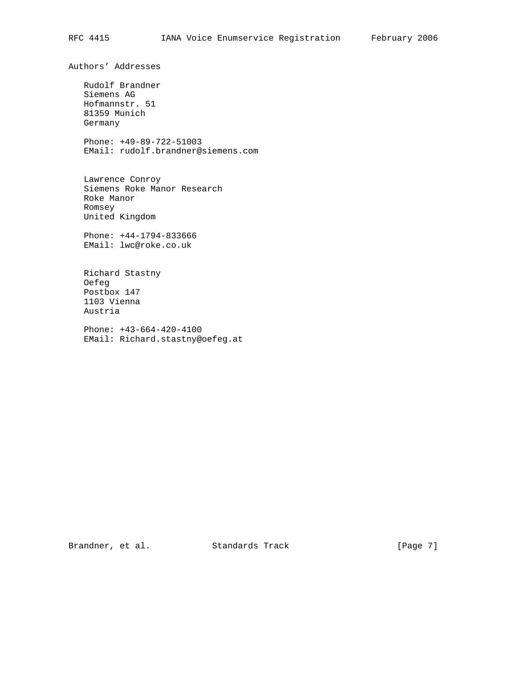Authors' Addresses

 Rudolf Brandner Siemens AG Hofmannstr. 51 81359 Munich Germany

 Phone: +49-89-722-51003 EMail: rudolf.brandner@siemens.com

 Lawrence Conroy Siemens Roke Manor Research Roke Manor Romsey United Kingdom

 Phone: +44-1794-833666 EMail: lwc@roke.co.uk

 Richard Stastny Oefeg Postbox 147 1103 Vienna Austria

 Phone: +43-664-420-4100 EMail: Richard.stastny@oefeg.at

Brandner, et al. Standards Track [Page 7]